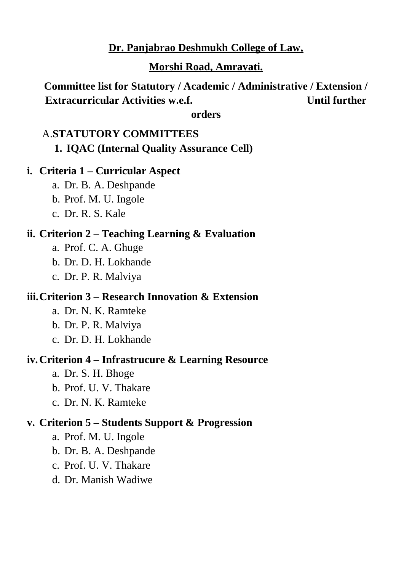## **Dr. Panjabrao Deshmukh College of Law,**

#### **Morshi Road, Amravati.**

**Committee list for Statutory / Academic / Administrative / Extension / Extracurricular Activities w.e.f. Victor Until further Until further** 

**orders**

# A.**STATUTORY COMMITTEES 1. IQAC (Internal Quality Assurance Cell)**

#### **i. Criteria 1 – Curricular Aspect**

- a. Dr. B. A. Deshpande
- b. Prof. M. U. Ingole
- c. Dr. R. S. Kale

#### **ii. Criterion 2 – Teaching Learning & Evaluation**

- a. Prof. C. A. Ghuge
- b. Dr. D. H. Lokhande
- c. Dr. P. R. Malviya

### **iii.Criterion 3 – Research Innovation & Extension**

- a. Dr. N. K. Ramteke
- b. Dr. P. R. Malviya
- c. Dr. D. H. Lokhande

#### **iv.Criterion 4 – Infrastrucure & Learning Resource**

- a. Dr. S. H. Bhoge
- b. Prof. U. V. Thakare
- c. Dr. N. K. Ramteke

### **v. Criterion 5 – Students Support & Progression**

- a. Prof. M. U. Ingole
- b. Dr. B. A. Deshpande
- c. Prof. U. V. Thakare
- d. Dr. Manish Wadiwe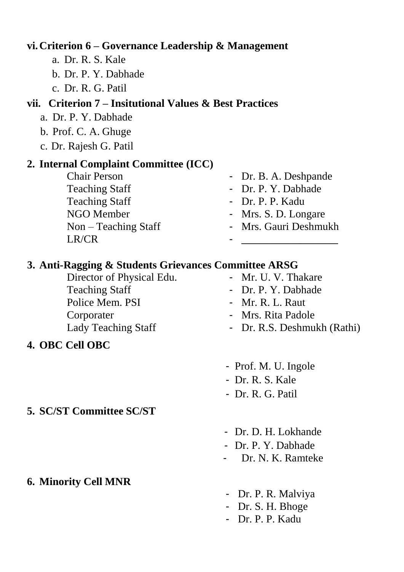# **vi.Criterion 6 – Governance Leadership & Management**

- a. Dr. R. S. Kale
- b. Dr. P. Y. Dabhade
- c. Dr. R. G. Patil

## **vii. Criterion 7 – Insitutional Values & Best Practices**

- a. Dr. P. Y. Dabhade
- b. Prof. C. A. Ghuge
- c. Dr. Rajesh G. Patil

## **2. Internal Complaint Committee (ICC)**

- Teaching Staff Dr. P. Y. Dabhade Teaching Staff - Dr. P. P. Kadu NGO Member - Mrs. S. D. Longare LR/CR - \_\_\_\_\_\_\_\_\_\_\_\_\_\_\_\_\_\_
- Chair Person Dr. B. A. Deshpande
	-
	-
	-
- Non Teaching Staff Mrs. Gauri Deshmukh

## **3. Anti-Ragging & Students Grievances Committee ARSG**

- Director of Physical Edu. Mr. U. V. Thakare Teaching Staff - Dr. P. Y. Dabhade Police Mem. PSI - Mr. R. L. Raut Corporater - Mrs. Rita Padole Lady Teaching Staff - Dr. R.S. Deshmukh (Rathi)
- **4. OBC Cell OBC**
- **5. SC/ST Committee SC/ST**

# **6. Minority Cell MNR**

- Prof. M. U. Ingole
- Dr. R. S. Kale
- Dr. R. G. Patil
- Dr. D. H. Lokhande
- Dr. P. Y. Dabhade
- Dr. N. K. Ramteke
- Dr. P. R. Malviya
- Dr. S. H. Bhoge
- Dr. P. P. Kadu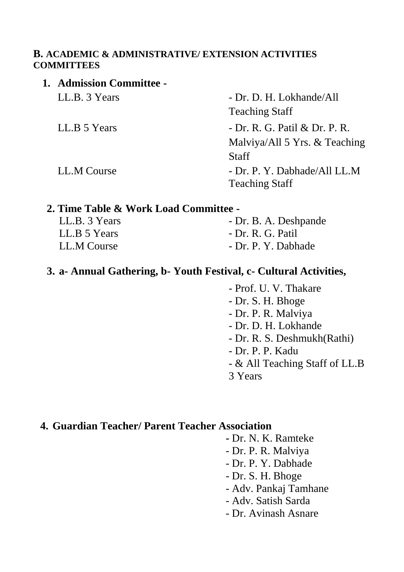#### **B. ACADEMIC & ADMINISTRATIVE/ EXTENSION ACTIVITIES COMMITTEES**

| 1. Admission Committee - |                                                       |
|--------------------------|-------------------------------------------------------|
| LL.B. 3 Years            | - Dr. D. H. Lokhande/All                              |
|                          | <b>Teaching Staff</b>                                 |
| LL.B 5 Years             | - Dr. R. G. Patil & Dr. P. R.                         |
|                          | Malviya/All 5 Yrs. & Teaching                         |
|                          | <b>Staff</b>                                          |
| LL.M Course              | - Dr. P. Y. Dabhade/All LL.M<br><b>Teaching Staff</b> |

#### **2. Time Table & Work Load Committee -**

| LL.B. 3 Years | - Dr. B. A. Deshpande |
|---------------|-----------------------|
| LL.B 5 Years  | - Dr. R. G. Patil     |
| LL.M Course   | - Dr. P. Y. Dabhade   |

#### **3. a- Annual Gathering, b- Youth Festival, c- Cultural Activities,**

- Prof. U. V. Thakare
- Dr. S. H. Bhoge
- Dr. P. R. Malviya
- Dr. D. H. Lokhande
- Dr. R. S. Deshmukh(Rathi)
- Dr. P. P. Kadu
- & All Teaching Staff of LL.B
- 3 Years

## **4. Guardian Teacher/ Parent Teacher Association**

- **-** Dr. N. K. Ramteke
- Dr. P. R. Malviya
- Dr. P. Y. Dabhade
- Dr. S. H. Bhoge
- Adv. Pankaj Tamhane
- Adv. Satish Sarda
- Dr. Avinash Asnare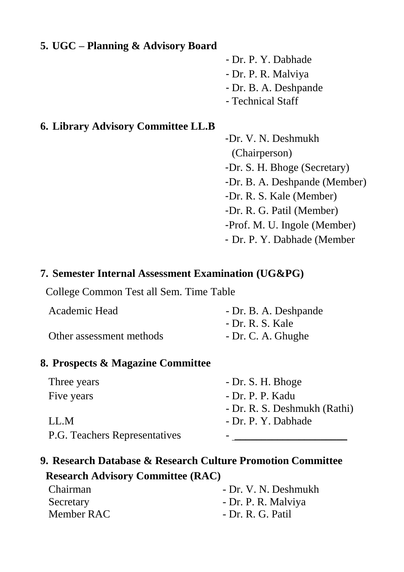## **5. UGC – Planning & Advisory Board**

- Dr. P. Y. Dabhade - Dr. P. R. Malviya - Dr. B. A. Deshpande - Technical Staff

# **6. Library Advisory Committee LL.B**

-Dr. V. N. Deshmukh (Chairperson) -Dr. S. H. Bhoge (Secretary) -Dr. B. A. Deshpande (Member) -Dr. R. S. Kale (Member) -Dr. R. G. Patil (Member) -Prof. M. U. Ingole (Member) - Dr. P. Y. Dabhade (Member

## **7. Semester Internal Assessment Examination (UG&PG)**

College Common Test all Sem. Time Table

| Academic Head            | - Dr. B. A. Deshpande |
|--------------------------|-----------------------|
|                          | - Dr. R. S. Kale      |
| Other assessment methods | - Dr. C. A. Ghughe    |

### **8. Prospects & Magazine Committee**

| Three years                   | - Dr. S. H. Bhoge            |
|-------------------------------|------------------------------|
| Five years                    | - Dr. P. P. Kadu             |
|                               | - Dr. R. S. Deshmukh (Rathi) |
| LL.M                          | - Dr. P. Y. Dabhade          |
| P.G. Teachers Representatives |                              |

# **9. Research Database & Research Culture Promotion Committee**

# **Research Advisory Committee (RAC)**

| Chairman   | - Dr. V. N. Deshmukh |  |
|------------|----------------------|--|
| Secretary  | - Dr. P. R. Malviya  |  |
| Member RAC | - Dr. R. G. Patil    |  |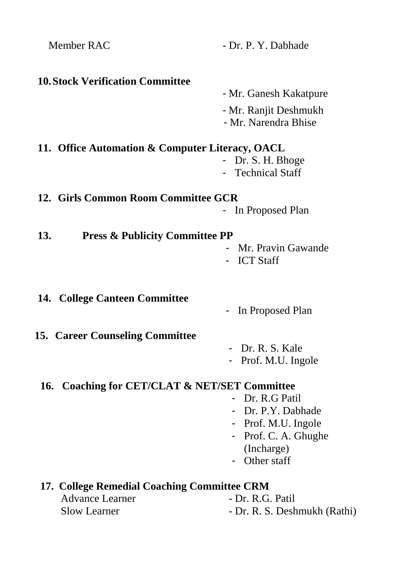| Member RAC                                       | - Dr. P. Y. Dabhade                           |  |
|--------------------------------------------------|-----------------------------------------------|--|
| <b>10. Stock Verification Committee</b>          |                                               |  |
|                                                  | - Mr. Ganesh Kakatpure                        |  |
|                                                  | - Mr. Ranjit Deshmukh                         |  |
|                                                  | - Mr. Narendra Bhise                          |  |
| 11. Office Automation & Computer Literacy, OACL  |                                               |  |
|                                                  | Dr. S. H. Bhoge                               |  |
|                                                  | <b>Technical Staff</b>                        |  |
| 12. Girls Common Room Committee GCR              |                                               |  |
|                                                  | In Proposed Plan                              |  |
| 13.<br><b>Press &amp; Publicity Committee PP</b> |                                               |  |
|                                                  | - Mr. Pravin Gawande                          |  |
|                                                  | - ICT Staff                                   |  |
|                                                  |                                               |  |
| <b>14. College Canteen Committee</b>             | In Proposed Plan                              |  |
|                                                  |                                               |  |
| <b>15. Career Counseling Committee</b>           |                                               |  |
|                                                  | - Dr. R. S. Kale                              |  |
|                                                  | Prof. M.U. Ingole                             |  |
|                                                  | 16. Coaching for CET/CLAT & NET/SET Committee |  |
|                                                  | - Dr. R.G Patil                               |  |
|                                                  | - Dr. P.Y. Dabhade                            |  |
|                                                  | Prof. M.U. Ingole                             |  |
|                                                  | Prof. C. A. Ghughe                            |  |
|                                                  | (Incharge)                                    |  |
|                                                  | Other staff                                   |  |
| 17. College Remedial Coaching Committee CRM      |                                               |  |
| <b>Advance Learner</b>                           | - Dr. R.G. Patil                              |  |
| <b>Slow Learner</b>                              | - Dr. R. S. Deshmukh (Rathi)                  |  |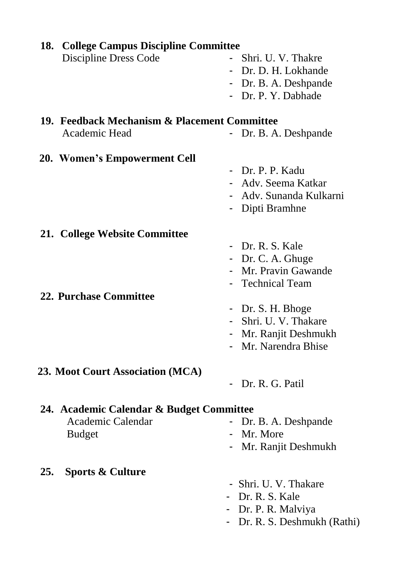|                                                                                | 18. College Campus Discipline Committee                                                                                                              |  |
|--------------------------------------------------------------------------------|------------------------------------------------------------------------------------------------------------------------------------------------------|--|
| Discipline Dress Code                                                          | Shri. U. V. Thakre<br>- Dr. D. H. Lokhande<br>- Dr. B. A. Deshpande<br>- Dr. P. Y. Dabhade                                                           |  |
| 19. Feedback Mechanism & Placement Committee<br>Academic Head                  | - Dr. B. A. Deshpande                                                                                                                                |  |
| 20. Women's Empowerment Cell                                                   | - Dr. P. P. Kadu<br>- Adv. Seema Katkar<br>- Adv. Sunanda Kulkarni<br>Dipti Bramhne                                                                  |  |
| 21. College Website Committee<br><b>22. Purchase Committee</b>                 | - Dr. R. S. Kale<br>- Dr. C. A. Ghuge<br>Mr. Pravin Gawande<br>- Technical Team<br>- Dr. S. H. Bhoge<br>Shri. U. V. Thakare<br>- Mr. Ranjit Deshmukh |  |
| 23. Moot Court Association (MCA)                                               | Mr. Narendra Bhise<br>Dr. R. G. Patil                                                                                                                |  |
| 24. Academic Calendar & Budget Committee<br>Academic Calendar<br><b>Budget</b> | Dr. B. A. Deshpande<br>- Mr. More<br>Mr. Ranjit Deshmukh                                                                                             |  |
| <b>Sports &amp; Culture</b><br>25.                                             |                                                                                                                                                      |  |

- Shri. U. V. Thakare
- Dr. R. S. Kale
- Dr. P. R. Malviya
- Dr. R. S. Deshmukh (Rathi)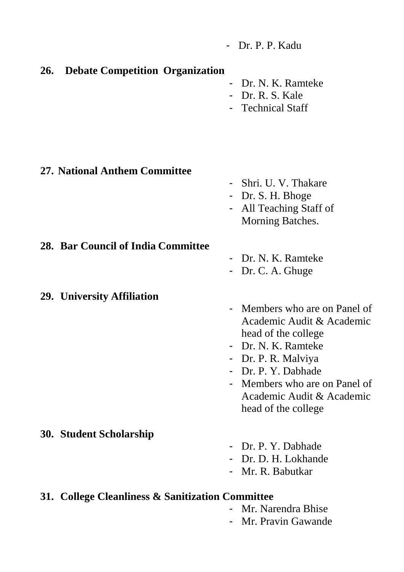- Dr. P. P. Kadu

#### **26. Debate Competition Organization**

- Dr. N. K. Ramteke
- Dr. R. S. Kale
- Technical Staff

#### **27. National Anthem Committee**

- Shri. U. V. Thakare
- Dr. S. H. Bhoge
- All Teaching Staff of Morning Batches.

**28. Bar Council of India Committee**

#### **29. University Affiliation**

- Dr. N. K. Ramteke
- Dr. C. A. Ghuge
- Members who are on Panel of Academic Audit & Academic head of the college
- Dr. N. K. Ramteke
- Dr. P. R. Malviya
- Dr. P. Y. Dabhade
- Members who are on Panel of Academic Audit & Academic head of the college

#### **30. Student Scholarship**

- Dr. P. Y. Dabhade
- Dr. D. H. Lokhande
- Mr. R. Babutkar

### **31. College Cleanliness & Sanitization Committee**

- Mr. Narendra Bhise
- Mr. Pravin Gawande